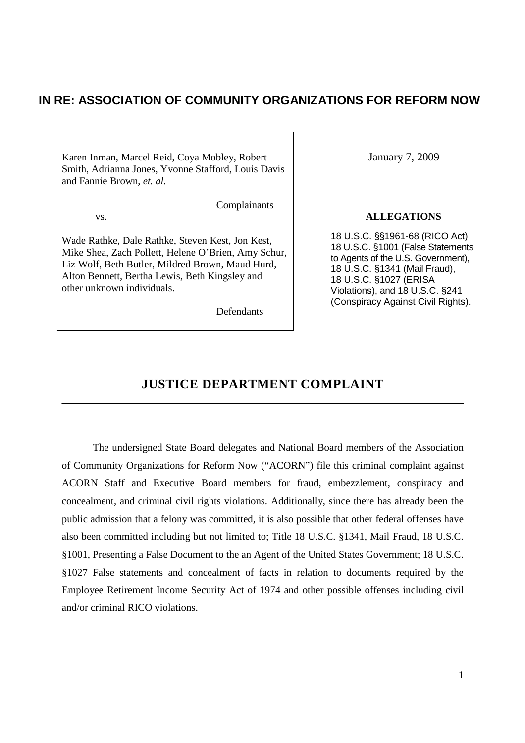# **IN RE: ASSOCIATION OF COMMUNITY ORGANIZATIONS FOR REFORM NOW**

Karen Inman, Marcel Reid, Coya Mobley, Robert January 7, 2009 Smith, Adrianna Jones, Yvonne Stafford, Louis Davis and Fannie Brown, *et. al.*

Wade Rathke, Dale Rathke, Steven Kest, Jon Kest, Mike Shea, Zach Pollett, Helene O'Brien, Amy Schur, Liz Wolf, Beth Butler, Mildred Brown, Maud Hurd, Alton Bennett, Bertha Lewis, Beth Kingsley and other unknown individuals.

Defendants

Complainants

#### vs. **ALLEGATIONS**

18 U.S.C. §§1961-68 (RICO Act) 18 U.S.C. §1001 (False Statements to Agents of the U.S. Government), 18 U.S.C. §1341 (Mail Fraud), 18 U.S.C. §1027 (ERISA Violations), and 18 U.S.C. §241 (Conspiracy Against Civil Rights).

# **JUSTICE DEPARTMENT COMPLAINT**

The undersigned State Board delegates and National Board members of the Association of Community Organizations for Reform Now ("ACORN") file this criminal complaint against ACORN Staff and Executive Board members for fraud, embezzlement, conspiracy and concealment, and criminal civil rights violations. Additionally, since there has already been the public admission that a felony was committed, it is also possible that other federal offenses have also been committed including but not limited to; Title 18 U.S.C. §1341, Mail Fraud, 18 U.S.C. §1001, Presenting a False Document to the an Agent of the United States Government; 18 U.S.C. §1027 False statements and concealment of facts in relation to documents required by the Employee Retirement Income Security Act of 1974 and other possible offenses including civil and/or criminal RICO violations.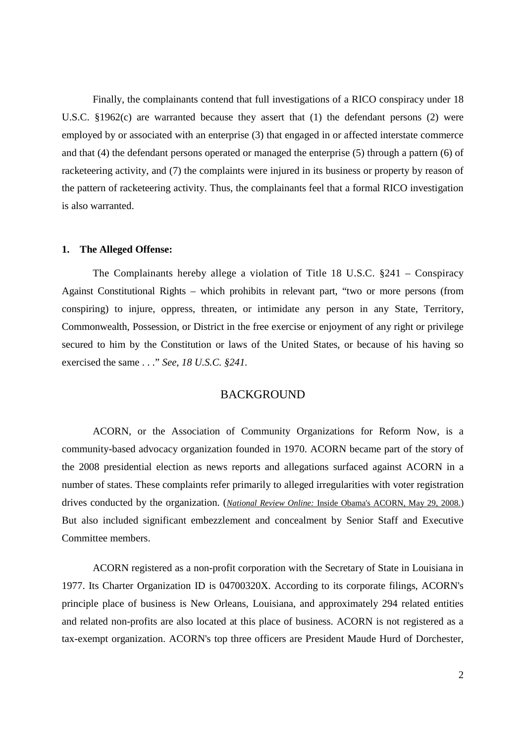Finally, the complainants contend that full investigations of a RICO conspiracy under 18 U.S.C. §1962(c) are warranted because they assert that (1) the defendant persons (2) were employed by or associated with an enterprise (3) that engaged in or affected interstate commerce and that (4) the defendant persons operated or managed the enterprise (5) through a pattern (6) of racketeering activity, and (7) the complaints were injured in its business or property by reason of the pattern of racketeering activity. Thus, the complainants feel that a formal RICO investigation is also warranted.

#### **1. The Alleged Offense:**

The Complainants hereby allege a violation of Title 18 U.S.C. §241 – Conspiracy Against Constitutional Rights – which prohibits in relevant part, "two or more persons (from conspiring) to injure, oppress, threaten, or intimidate any person in any State, Territory, Commonwealth, Possession, or District in the free exercise or enjoyment of any right or privilege secured to him by the Constitution or laws of the United States, or because of his having so exercised the same . . ." *See, 18 U.S.C. §241.*

# **BACKGROUND**

ACORN, or the Association of Community Organizations for Reform Now, is a community-based advocacy organization founded in 1970. ACORN became part of the story of the 2008 presidential election as news reports and allegations surfaced against ACORN in a number of states. These complaints refer primarily to alleged irregularities with voter registration drives conducted by the organization. (*National Review Online:* Inside Obama's ACORN, May 29, 2008.) But also included significant embezzlement and concealment by Senior Staff and Executive Committee members.

ACORN registered as a non-profit corporation with the Secretary of State in Louisiana in 1977. Its Charter Organization ID is 04700320X. According to its corporate filings, ACORN's principle place of business is New Orleans, Louisiana, and approximately 294 related entities and related non-profits are also located at this place of business. ACORN is not registered as a tax-exempt organization. ACORN's top three officers are President Maude Hurd of Dorchester,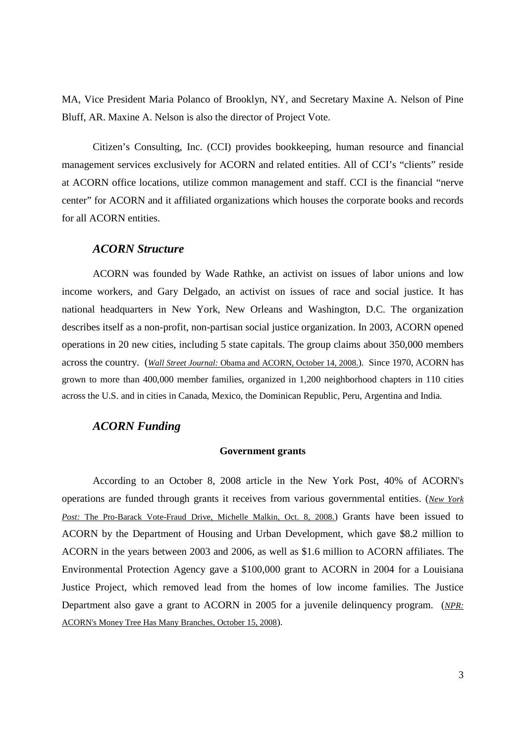MA, Vice President Maria Polanco of Brooklyn, NY, and Secretary Maxine A. Nelson of Pine Bluff, AR. Maxine A. Nelson is also the director of Project Vote.

Citizen's Consulting, Inc. (CCI) provides bookkeeping, human resource and financial management services exclusively for ACORN and related entities. All of CCI's "clients" reside at ACORN office locations, utilize common management and staff. CCI is the financial "nerve center" for ACORN and it affiliated organizations which houses the corporate books and records for all ACORN entities.

# *ACORN Structure*

ACORN was founded by Wade Rathke, an activist on issues of labor unions and low income workers, and Gary Delgado, an activist on issues of race and social justice. It has national headquarters in New York, New Orleans and Washington, D.C. The organization describes itself as a non-profit, non-partisan social justice organization. In 2003, ACORN opened operations in 20 new cities, including 5 state capitals. The group claims about 350,000 members across the country. (*Wall Street Journal:* Obama and ACORN, October 14, 2008.). Since 1970, ACORN has grown to more than 400,000 member families, organized in 1,200 neighborhood chapters in 110 cities across the U.S. and in cities in Canada, Mexico, the Dominican Republic, Peru, Argentina and India.

# *ACORN Funding*

## **Government grants**

According to an October 8, 2008 article in the New York Post, 40% of ACORN's operations are funded through grants it receives from various governmental entities. (*New York* Post: The Pro-Barack Vote-Fraud Drive, Michelle Malkin, Oct. 8, 2008.) Grants have been issued to ACORN by the Department of Housing and Urban Development, which gave \$8.2 million to ACORN in the years between 2003 and 2006, as well as \$1.6 million to ACORN affiliates. The Environmental Protection Agency gave a \$100,000 grant to ACORN in 2004 for a Louisiana Justice Project, which removed lead from the homes of low income families. The Justice Department also gave a grant to ACORN in 2005 for a juvenile delinquency program. (*NPR:* ACORN's Money Tree Has Many Branches, October 15, 2008).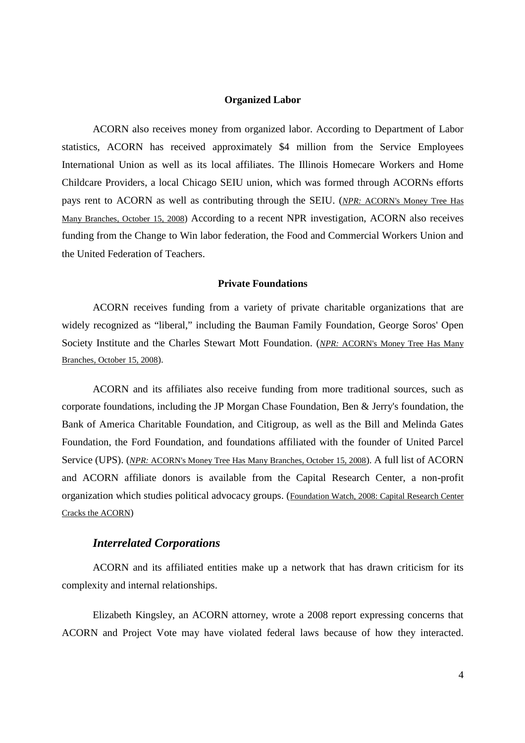## **Organized Labor**

ACORN also receives money from organized labor. According to Department of Labor statistics, ACORN has received approximately \$4 million from the Service Employees International Union as well as its local affiliates. The Illinois Homecare Workers and Home Childcare Providers, a local Chicago SEIU union, which was formed through ACORNs efforts pays rent to ACORN as well as contributing through the SEIU. (*NPR:* ACORN's Money Tree Has Many Branches, October 15, 2008) According to a recent NPR investigation, ACORN also receives funding from the Change to Win labor federation, the Food and Commercial Workers Union and the United Federation of Teachers.

#### **Private Foundations**

ACORN receives funding from a variety of private charitable organizations that are widely recognized as "liberal," including the Bauman Family Foundation, George Soros' Open Society Institute and the Charles Stewart Mott Foundation. (*NPR:* ACORN's Money Tree Has Many Branches, October 15, 2008).

ACORN and its affiliates also receive funding from more traditional sources, such as corporate foundations, including the JP Morgan Chase Foundation, Ben & Jerry's foundation, the Bank of America Charitable Foundation, and Citigroup, as well as the Bill and Melinda Gates Foundation, the Ford Foundation, and foundations affiliated with the founder of United Parcel Service (UPS). (*NPR:* ACORN's Money Tree Has Many Branches, October 15, 2008). A full list of ACORN and ACORN affiliate donors is available from the Capital Research Center, a non-profit organization which studies political advocacy groups. (Foundation Watch, 2008: Capital Research Center Cracks the ACORN)

# *Interrelated Corporations*

ACORN and its affiliated entities make up a network that has drawn criticism for its complexity and internal relationships.

Elizabeth Kingsley, an ACORN attorney, wrote a 2008 report expressing concerns that ACORN and Project Vote may have violated federal laws because of how they interacted.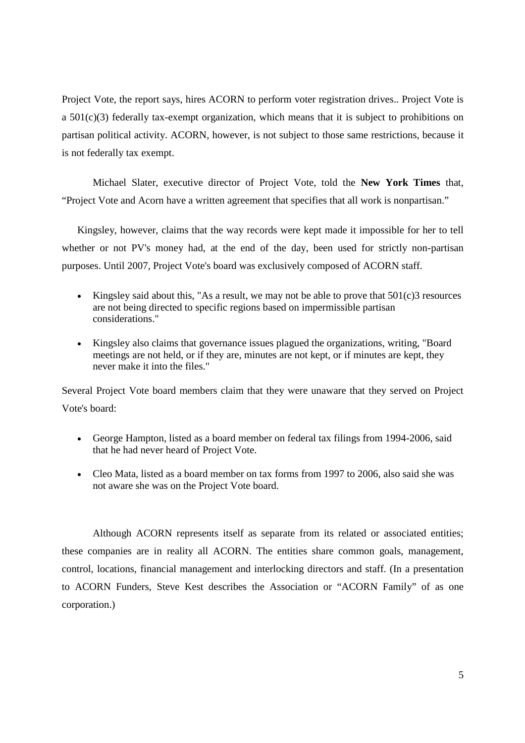Project Vote, the report says, hires ACORN to perform voter registration drives.. Project Vote is a  $501(c)(3)$  federally tax-exempt organization, which means that it is subject to prohibitions on partisan political activity. ACORN, however, is not subject to those same restrictions, because it is not federally tax exempt.

Michael Slater, executive director of Project Vote, told the **New York Times** that, "Project Vote and Acorn have a written agreement that specifies that all work is nonpartisan."

Kingsley, however, claims that the way records were kept made it impossible for her to tell whether or not PV's money had, at the end of the day, been used for strictly non-partisan purposes. Until 2007, Project Vote's board was exclusively composed of ACORN staff.

- Kingsley said about this, "As a result, we may not be able to prove that 501(c)3 resources are not being directed to specific regions based on impermissible partisan considerations."
- Kingsley also claims that governance issues plagued the organizations, writing, "Board meetings are not held, or if they are, minutes are not kept, or if minutes are kept, they never make it into the files."

Several Project Vote board members claim that they were unaware that they served on Project Vote's board:

- George Hampton, listed as a board member on federal tax filings from 1994-2006, said that he had never heard of Project Vote.
- Cleo Mata, listed as a board member on tax forms from 1997 to 2006, also said she was not aware she was on the Project Vote board.

Although ACORN represents itself as separate from its related or associated entities; these companies are in reality all ACORN. The entities share common goals, management, control, locations, financial management and interlocking directors and staff. (In a presentation to ACORN Funders, Steve Kest describes the Association or "ACORN Family" of as one corporation.)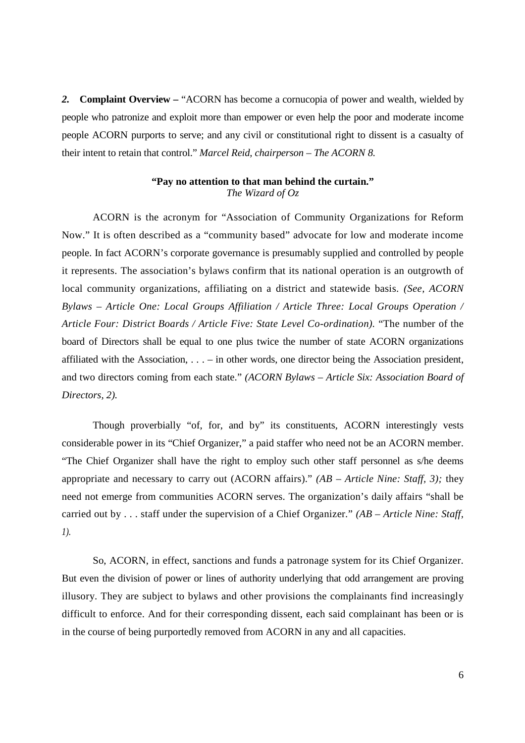*2.* **Complaint Overview –** "ACORN has become a cornucopia of power and wealth, wielded by people who patronize and exploit more than empower or even help the poor and moderate income people ACORN purports to serve; and any civil or constitutional right to dissent is a casualty of their intent to retain that control." *Marcel Reid, chairperson – The ACORN 8.*

# **"Pay no attention to that man behind the curtain."** *The Wizard of Oz*

ACORN is the acronym for "Association of Community Organizations for Reform Now." It is often described as a "community based" advocate for low and moderate income people. In fact ACORN's corporate governance is presumably supplied and controlled by people it represents. The association's bylaws confirm that its national operation is an outgrowth of local community organizations, affiliating on a district and statewide basis. *(See, ACORN Bylaws – Article One: Local Groups Affiliation / Article Three: Local Groups Operation / Article Four: District Boards / Article Five: State Level Co-ordination).* "The number of the board of Directors shall be equal to one plus twice the number of state ACORN organizations affiliated with the Association, . . . – in other words, one director being the Association president, and two directors coming from each state." *(ACORN Bylaws – Article Six: Association Board of Directors, 2).*

Though proverbially "of, for, and by" its constituents, ACORN interestingly vests considerable power in its "Chief Organizer," a paid staffer who need not be an ACORN member. "The Chief Organizer shall have the right to employ such other staff personnel as s/he deems appropriate and necessary to carry out (ACORN affairs)." *(AB – Article Nine: Staff, 3);* they need not emerge from communities ACORN serves. The organization's daily affairs "shall be carried out by . . . staff under the supervision of a Chief Organizer." *(AB – Article Nine: Staff, 1).*

So, ACORN, in effect, sanctions and funds a patronage system for its Chief Organizer. But even the division of power or lines of authority underlying that odd arrangement are proving illusory. They are subject to bylaws and other provisions the complainants find increasingly difficult to enforce. And for their corresponding dissent, each said complainant has been or is in the course of being purportedly removed from ACORN in any and all capacities.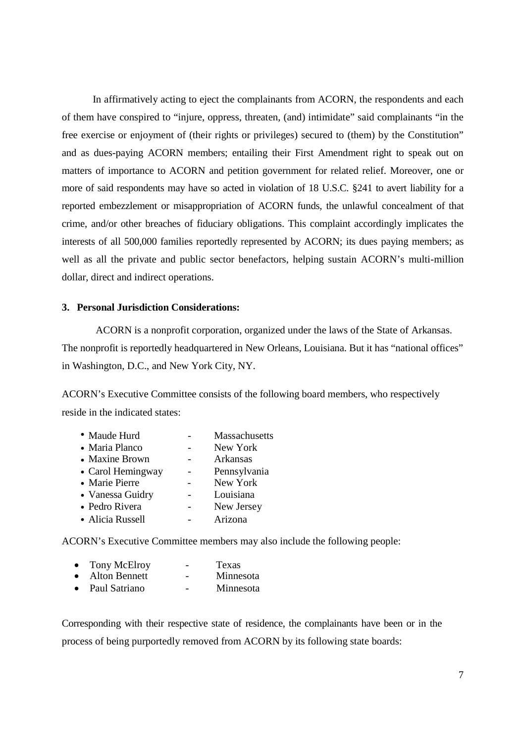In affirmatively acting to eject the complainants from ACORN, the respondents and each of them have conspired to "injure, oppress, threaten, (and) intimidate" said complainants "in the free exercise or enjoyment of (their rights or privileges) secured to (them) by the Constitution" and as dues-paying ACORN members; entailing their First Amendment right to speak out on matters of importance to ACORN and petition government for related relief. Moreover, one or more of said respondents may have so acted in violation of 18 U.S.C. §241 to avert liability for a reported embezzlement or misappropriation of ACORN funds, the unlawful concealment of that crime, and/or other breaches of fiduciary obligations. This complaint accordingly implicates the interests of all 500,000 families reportedly represented by ACORN; its dues paying members; as well as all the private and public sector benefactors, helping sustain ACORN's multi-million dollar, direct and indirect operations.

### **3. Personal Jurisdiction Considerations:**

ACORN is a nonprofit corporation, organized under the laws of the State of Arkansas. The nonprofit is reportedly headquartered in New Orleans, Louisiana. But it has "national offices" in Washington, D.C., and New York City, NY.

ACORN's Executive Committee consists of the following board members, who respectively reside in the indicated states:

| Massachusetts |
|---------------|
| New York      |
| Arkansas      |
| Pennsylvania  |
| New York      |
| Louisiana     |
| New Jersey    |
| Arizona       |
|               |

ACORN's Executive Committee members may also include the following people:

| $\bullet$ | Tony McElroy  | - | Texas     |
|-----------|---------------|---|-----------|
| $\bullet$ | Alton Bennett |   | Minnesota |
| $\bullet$ | Paul Satriano |   | Minnesota |

Corresponding with their respective state of residence, the complainants have been or in the process of being purportedly removed from ACORN by its following state boards: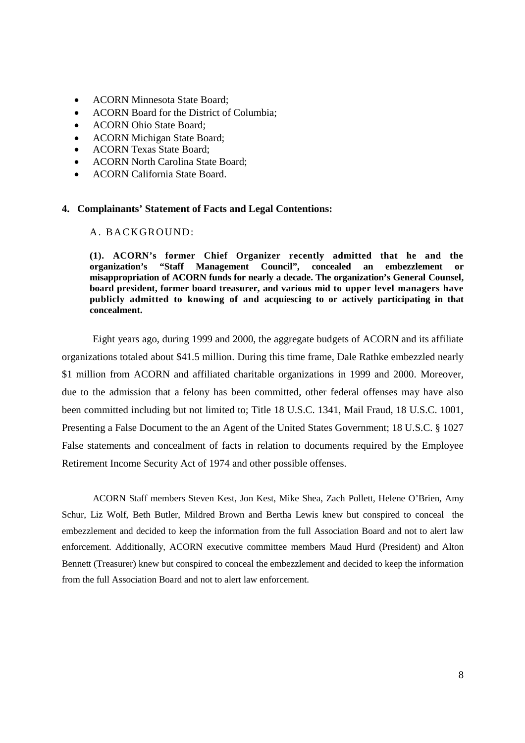- ACORN Minnesota State Board;
- ACORN Board for the District of Columbia;
- ACORN Ohio State Board;
- ACORN Michigan State Board;
- ACORN Texas State Board;
- ACORN North Carolina State Board;
- ACORN California State Board.

#### **4. Complainants' Statement of Facts and Legal Contentions:**

## A. BACKGROUND:

**(1). ACORN's former Chief Organizer recently admitted that he and the organization's "Staff Management Council", concealed an embezzlement or misappropriation of ACORN funds for nearly a decade. The organization's General Counsel, board president, former board treasurer, and various mid to upper level managers have publicly admitted to knowing of and acquiescing to or actively participating in that concealment.**

Eight years ago, during 1999 and 2000, the aggregate budgets of ACORN and its affiliate organizations totaled about \$41.5 million. During this time frame, Dale Rathke embezzled nearly \$1 million from ACORN and affiliated charitable organizations in 1999 and 2000. Moreover, due to the admission that a felony has been committed, other federal offenses may have also been committed including but not limited to; Title 18 U.S.C. 1341, Mail Fraud, 18 U.S.C. 1001, Presenting a False Document to the an Agent of the United States Government; 18 U.S.C. § 1027 False statements and concealment of facts in relation to documents required by the Employee Retirement Income Security Act of 1974 and other possible offenses.

ACORN Staff members Steven Kest, Jon Kest, Mike Shea, Zach Pollett, Helene O'Brien, Amy Schur, Liz Wolf, Beth Butler, Mildred Brown and Bertha Lewis knew but conspired to conceal the embezzlement and decided to keep the information from the full Association Board and not to alert law enforcement. Additionally, ACORN executive committee members Maud Hurd (President) and Alton Bennett (Treasurer) knew but conspired to conceal the embezzlement and decided to keep the information from the full Association Board and not to alert law enforcement.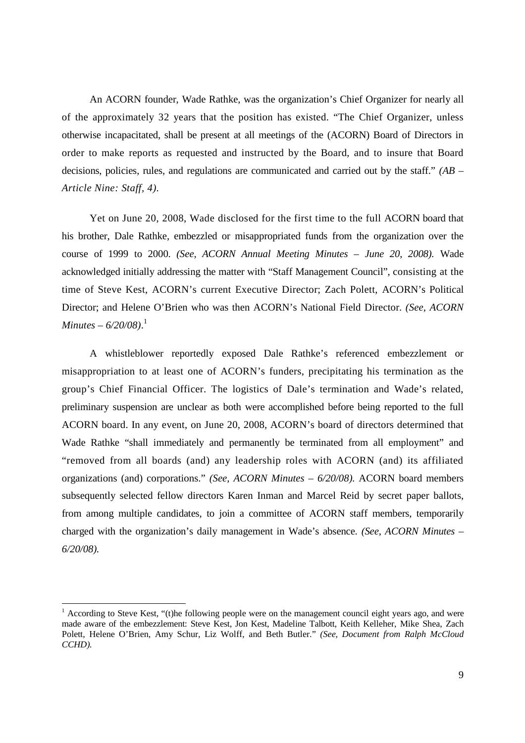An ACORN founder, Wade Rathke, was the organization's Chief Organizer for nearly all of the approximately 32 years that the position has existed. "The Chief Organizer, unless otherwise incapacitated, shall be present at all meetings of the (ACORN) Board of Directors in order to make reports as requested and instructed by the Board, and to insure that Board decisions, policies, rules, and regulations are communicated and carried out by the staff." *(AB – Article Nine: Staff, 4).*

Yet on June 20, 2008, Wade disclosed for the first time to the full ACORN board that his brother, Dale Rathke, embezzled or misappropriated funds from the organization over the course of 1999 to 2000. *(See, ACORN Annual Meeting Minutes – June 20, 2008).* Wade acknowledged initially addressing the matter with "Staff Management Council", consisting at the time of Steve Kest, ACORN's current Executive Director; Zach Polett, ACORN's Political Director; and Helene O'Brien who was then ACORN's National Field Director. *(See, ACORN Minutes – 6/20/08)*. 1

A whistleblower reportedly exposed Dale Rathke's referenced embezzlement or misappropriation to at least one of ACORN's funders, precipitating his termination as the group's Chief Financial Officer. The logistics of Dale's termination and Wade's related, preliminary suspension are unclear as both were accomplished before being reported to the full ACORN board. In any event, on June 20, 2008, ACORN's board of directors determined that Wade Rathke "shall immediately and permanently be terminated from all employment" and "removed from all boards (and) any leadership roles with ACORN (and) its affiliated organizations (and) corporations." *(See, ACORN Minutes – 6/20/08).* ACORN board members subsequently selected fellow directors Karen Inman and Marcel Reid by secret paper ballots, from among multiple candidates, to join a committee of ACORN staff members, temporarily charged with the organization's daily management in Wade's absence. *(See, ACORN Minutes – 6/20/08).*

<sup>&</sup>lt;sup>1</sup> According to Steve Kest, "(t)he following people were on the management council eight years ago, and were made aware of the embezzlement: Steve Kest, Jon Kest, Madeline Talbott, Keith Kelleher, Mike Shea, Zach Polett, Helene O'Brien, Amy Schur, Liz Wolff, and Beth Butler." *(See, Document from Ralph McCloud CCHD).*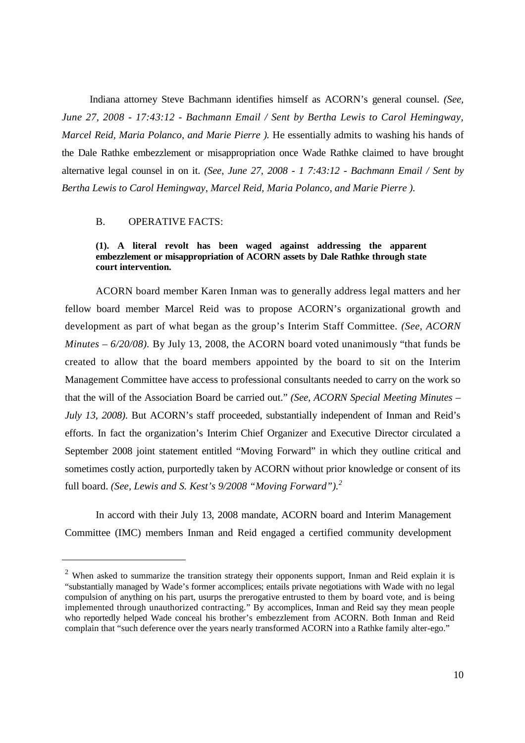Indiana attorney Steve Bachmann identifies himself as ACORN's general counsel. *(See, June 27, 2008 - 17:43:12 - Bachmann Email / Sent by Bertha Lewis to Carol Hemingway, Marcel Reid, Maria Polanco, and Marie Pierre ).* He essentially admits to washing his hands of the Dale Rathke embezzlement or misappropriation once Wade Rathke claimed to have brought alternative legal counsel in on it. *(See, June 27, 2008 - 1 7:43:12 - Bachmann Email / Sent by Bertha Lewis to Carol Hemingway, Marcel Reid, Maria Polanco, and Marie Pierre ).*

#### B. OPERATIVE FACTS:

## **(1). A literal revolt has been waged against addressing the apparent embezzlement or misappropriation of ACORN assets by Dale Rathke through state court intervention.**

ACORN board member Karen Inman was to generally address legal matters and her fellow board member Marcel Reid was to propose ACORN's organizational growth and development as part of what began as the group's Interim Staff Committee. *(See, ACORN Minutes – 6/20/08).* By July 13, 2008, the ACORN board voted unanimously "that funds be created to allow that the board members appointed by the board to sit on the Interim Management Committee have access to professional consultants needed to carry on the work so that the will of the Association Board be carried out." *(See, ACORN Special Meeting Minutes – July 13, 2008).* But ACORN's staff proceeded, substantially independent of Inman and Reid's efforts. In fact the organization's Interim Chief Organizer and Executive Director circulated a September 2008 joint statement entitled "Moving Forward" in which they outline critical and sometimes costly action, purportedly taken by ACORN without prior knowledge or consent of its full board. *(See, Lewis and S. Kest's 9/2008 "Moving Forward"). 2*

In accord with their July 13, 2008 mandate, ACORN board and Interim Management Committee (IMC) members Inman and Reid engaged a certified community development

<sup>&</sup>lt;sup>2</sup> When asked to summarize the transition strategy their opponents support, Inman and Reid explain it is "substantially managed by Wade's former accomplices; entails private negotiations with Wade with no legal compulsion of anything on his part, usurps the prerogative entrusted to them by board vote, and is being implemented through unauthorized contracting." By accomplices, Inman and Reid say they mean people who reportedly helped Wade conceal his brother's embezzlement from ACORN. Both Inman and Reid complain that "such deference over the years nearly transformed ACORN into a Rathke family alter-ego."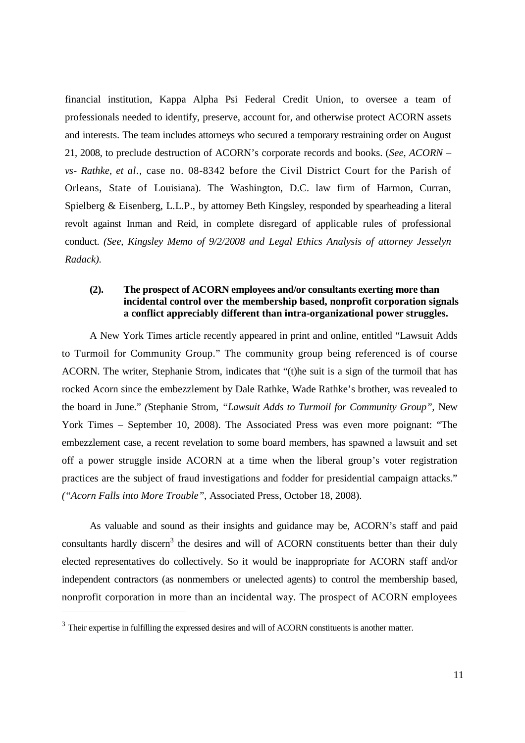financial institution, Kappa Alpha Psi Federal Credit Union, to oversee a team of professionals needed to identify, preserve, account for, and otherwise protect ACORN assets and interests. The team includes attorneys who secured a temporary restraining order on August 21, 2008, to preclude destruction of ACORN's corporate records and books. (*See, ACORN – vs- Rathke, et al.,* case no. 08-8342 before the Civil District Court for the Parish of Orleans, State of Louisiana). The Washington, D.C. law firm of Harmon, Curran, Spielberg & Eisenberg, L.L.P., by attorney Beth Kingsley, responded by spearheading a literal revolt against Inman and Reid, in complete disregard of applicable rules of professional conduct. *(See, Kingsley Memo of 9/2/2008 and Legal Ethics Analysis of attorney Jesselyn Radack).*

# **(2). The prospect of ACORN employees and/or consultants exerting more than incidental control over the membership based, nonprofit corporation signals a conflict appreciably different than intra-organizational power struggles.**

A New York Times article recently appeared in print and online, entitled "Lawsuit Adds to Turmoil for Community Group." The community group being referenced is of course ACORN. The writer, Stephanie Strom, indicates that "(t)he suit is a sign of the turmoil that has rocked Acorn since the embezzlement by Dale Rathke, Wade Rathke's brother, was revealed to the board in June." *(*Stephanie Strom, *"Lawsuit Adds to Turmoil for Community Group",* New York Times – September 10, 2008). The Associated Press was even more poignant: "The embezzlement case, a recent revelation to some board members, has spawned a lawsuit and set off a power struggle inside ACORN at a time when the liberal group's voter registration practices are the subject of fraud investigations and fodder for presidential campaign attacks." *("Acorn Falls into More Trouble",* Associated Press, October 18, 2008).

As valuable and sound as their insights and guidance may be, ACORN's staff and paid consultants hardly discern<sup>3</sup> the desires and will of ACORN constituents better than their duly elected representatives do collectively. So it would be inappropriate for ACORN staff and/or independent contractors (as nonmembers or unelected agents) to control the membership based, nonprofit corporation in more than an incidental way. The prospect of ACORN employees

 $3$  Their expertise in fulfilling the expressed desires and will of ACORN constituents is another matter.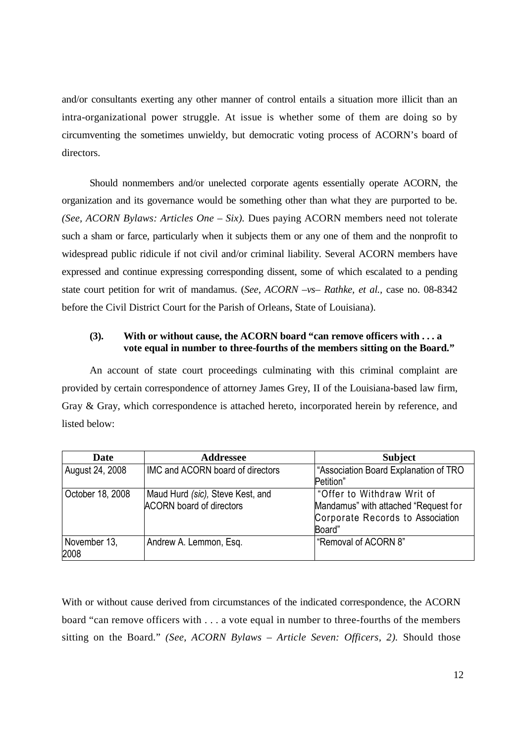and/or consultants exerting any other manner of control entails a situation more illicit than an intra-organizational power struggle. At issue is whether some of them are doing so by circumventing the sometimes unwieldy, but democratic voting process of ACORN's board of directors.

Should nonmembers and/or unelected corporate agents essentially operate ACORN, the organization and its governance would be something other than what they are purported to be. *(See, ACORN Bylaws: Articles One – Six).* Dues paying ACORN members need not tolerate such a sham or farce, particularly when it subjects them or any one of them and the nonprofit to widespread public ridicule if not civil and/or criminal liability. Several ACORN members have expressed and continue expressing corresponding dissent, some of which escalated to a pending state court petition for writ of mandamus. (*See, ACORN –vs– Rathke, et al.,* case no. 08-8342 before the Civil District Court for the Parish of Orleans, State of Louisiana).

# **(3). With or without cause, the ACORN board "can remove officers with . . . a vote equal in number to three-fourths of the members sitting on the Board."**

An account of state court proceedings culminating with this criminal complaint are provided by certain correspondence of attorney James Grey, II of the Louisiana-based law firm, Gray & Gray, which correspondence is attached hereto, incorporated herein by reference, and listed below:

| Date             | <b>Addressee</b>                 | <b>Subject</b>                        |
|------------------|----------------------------------|---------------------------------------|
| August 24, 2008  | IMC and ACORN board of directors | "Association Board Explanation of TRO |
|                  |                                  | Petition"                             |
| October 18, 2008 | Maud Hurd (sic), Steve Kest, and | "Offer to Withdraw Writ of            |
|                  | <b>ACORN</b> board of directors  | Mandamus" with attached "Request for  |
|                  |                                  | Corporate Records to Association      |
|                  |                                  | Board"                                |
| November 13,     | Andrew A. Lemmon, Esq.           | "Removal of ACORN 8"                  |
| 2008             |                                  |                                       |

With or without cause derived from circumstances of the indicated correspondence, the ACORN board "can remove officers with . . . a vote equal in number to three-fourths of the members sitting on the Board." *(See, ACORN Bylaws – Article Seven: Officers, 2).* Should those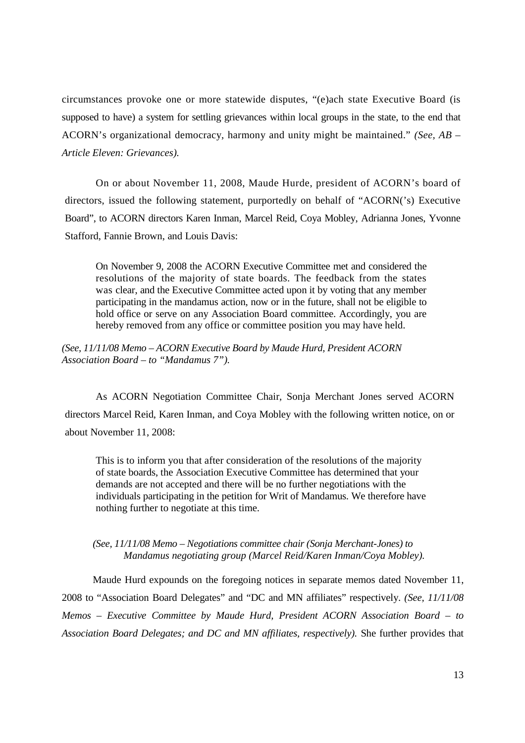circumstances provoke one or more statewide disputes, "(e)ach state Executive Board (is supposed to have) a system for settling grievances within local groups in the state, to the end that ACORN's organizational democracy, harmony and unity might be maintained." *(See, AB – Article Eleven: Grievances).*

On or about November 11, 2008, Maude Hurde, president of ACORN's board of directors, issued the following statement, purportedly on behalf of "ACORN('s) Executive Board", to ACORN directors Karen Inman, Marcel Reid, Coya Mobley, Adrianna Jones, Yvonne Stafford, Fannie Brown, and Louis Davis:

On November 9, 2008 the ACORN Executive Committee met and considered the resolutions of the majority of state boards. The feedback from the states was clear, and the Executive Committee acted upon it by voting that any member participating in the mandamus action, now or in the future, shall not be eligible to hold office or serve on any Association Board committee. Accordingly, you are hereby removed from any office or committee position you may have held.

*(See, 11/11/08 Memo – ACORN Executive Board by Maude Hurd, President ACORN Association Board – to "Mandamus 7").*

As ACORN Negotiation Committee Chair, Sonja Merchant Jones served ACORN directors Marcel Reid, Karen Inman, and Coya Mobley with the following written notice, on or about November 11, 2008:

This is to inform you that after consideration of the resolutions of the majority of state boards, the Association Executive Committee has determined that your demands are not accepted and there will be no further negotiations with the individuals participating in the petition for Writ of Mandamus. We therefore have nothing further to negotiate at this time.

## *(See, 11/11/08 Memo – Negotiations committee chair (Sonja Merchant-Jones) to Mandamus negotiating group (Marcel Reid/Karen Inman/Coya Mobley).*

Maude Hurd expounds on the foregoing notices in separate memos dated November 11, 2008 to "Association Board Delegates" and "DC and MN affiliates" respectively. *(See, 11/11/08 Memos – Executive Committee by Maude Hurd, President ACORN Association Board – to Association Board Delegates; and DC and MN affiliates, respectively).* She further provides that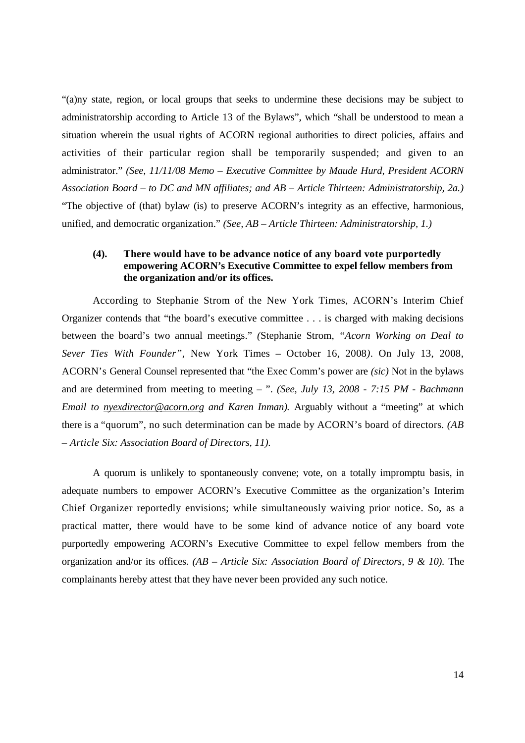"(a)ny state, region, or local groups that seeks to undermine these decisions may be subject to administratorship according to Article 13 of the Bylaws", which "shall be understood to mean a situation wherein the usual rights of ACORN regional authorities to direct policies, affairs and activities of their particular region shall be temporarily suspended; and given to an administrator." *(See, 11/11/08 Memo – Executive Committee by Maude Hurd, President ACORN Association Board – to DC and MN affiliates; and AB – Article Thirteen: Administratorship, 2a.)* "The objective of (that) bylaw (is) to preserve ACORN's integrity as an effective, harmonious, unified, and democratic organization." *(See, AB – Article Thirteen: Administratorship, 1.)*

# **(4). There would have to be advance notice of any board vote purportedly empowering ACORN's Executive Committee to expel fellow members from the organization and/or its offices.**

According to Stephanie Strom of the New York Times, ACORN's Interim Chief Organizer contends that "the board's executive committee . . . is charged with making decisions between the board's two annual meetings." *(*Stephanie Strom, *"Acorn Working on Deal to Sever Ties With Founder",* New York Times – October 16, 2008*)*. On July 13, 2008, ACORN's General Counsel represented that "the Exec Comm's power are *(sic)* Not in the bylaws and are determined from meeting to meeting – ". *(See, July 13, 2008 - 7:15 PM - Bachmann Email to nyexdirector@acorn.org and Karen Inman).* Arguably without a "meeting" at which there is a "quorum", no such determination can be made by ACORN's board of directors. *(AB – Article Six: Association Board of Directors, 11).*

A quorum is unlikely to spontaneously convene; vote, on a totally impromptu basis, in adequate numbers to empower ACORN's Executive Committee as the organization's Interim Chief Organizer reportedly envisions; while simultaneously waiving prior notice. So, as a practical matter, there would have to be some kind of advance notice of any board vote purportedly empowering ACORN's Executive Committee to expel fellow members from the organization and/or its offices. *(AB – Article Six: Association Board of Directors, 9 & 10).* The complainants hereby attest that they have never been provided any such notice.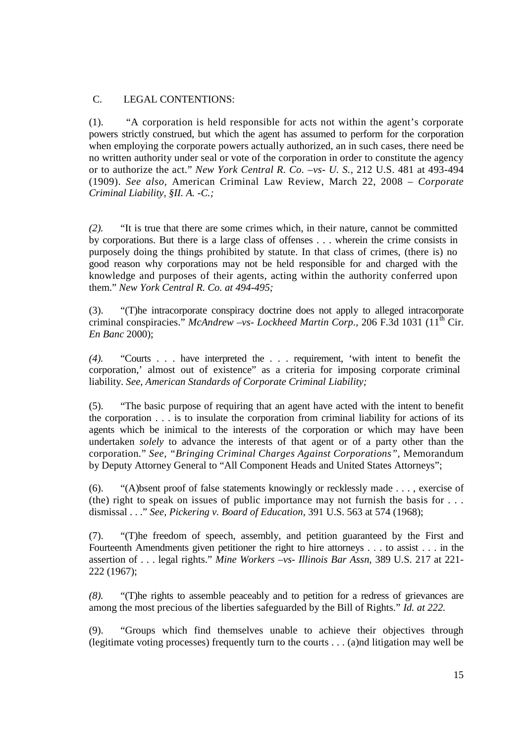# C. LEGAL CONTENTIONS:

(1). "A corporation is held responsible for acts not within the agent's corporate powers strictly construed, but which the agent has assumed to perform for the corporation when employing the corporate powers actually authorized, an in such cases, there need be no written authority under seal or vote of the corporation in order to constitute the agency or to authorize the act." *New York Central R. Co. –vs- U. S.,* 212 U.S. 481 at 493-494 (1909). *See also,* American Criminal Law Review, March 22, 2008 – *Corporate Criminal Liability, §II. A. -C.;*

*(2).* "It is true that there are some crimes which, in their nature, cannot be committed by corporations. But there is a large class of offenses . . . wherein the crime consists in purposely doing the things prohibited by statute. In that class of crimes, (there is) no good reason why corporations may not be held responsible for and charged with the knowledge and purposes of their agents, acting within the authority conferred upon them." *New York Central R. Co. at 494-495;*

(3). "(T)he intracorporate conspiracy doctrine does not apply to alleged intracorporate criminal conspiracies." *McAndrew –vs- Lockheed Martin Corp.,* 206 F.3d 1031 (11th Cir. *En Banc* 2000);

*(4).* "Courts . . . have interpreted the . . . requirement, 'with intent to benefit the corporation,' almost out of existence" as a criteria for imposing corporate criminal liability. *See, American Standards of Corporate Criminal Liability;*

(5). "The basic purpose of requiring that an agent have acted with the intent to benefit the corporation . . . is to insulate the corporation from criminal liability for actions of its agents which be inimical to the interests of the corporation or which may have been undertaken *solely* to advance the interests of that agent or of a party other than the corporation." *See, "Bringing Criminal Charges Against Corporations",* Memorandum by Deputy Attorney General to "All Component Heads and United States Attorneys";

(6). "(A)bsent proof of false statements knowingly or recklessly made . . . , exercise of (the) right to speak on issues of public importance may not furnish the basis for . . . dismissal . . ." *See, Pickering v. Board of Education,* 391 U.S. 563 at 574 (1968);

(7). "(T)he freedom of speech, assembly, and petition guaranteed by the First and Fourteenth Amendments given petitioner the right to hire attorneys . . . to assist . . . in the assertion of . . . legal rights." *Mine Workers –vs- Illinois Bar Assn,* 389 U.S. 217 at 221- 222 (1967);

*(8).* "(T)he rights to assemble peaceably and to petition for a redress of grievances are among the most precious of the liberties safeguarded by the Bill of Rights." *Id. at 222.*

(9). "Groups which find themselves unable to achieve their objectives through (legitimate voting processes) frequently turn to the courts . . . (a)nd litigation may well be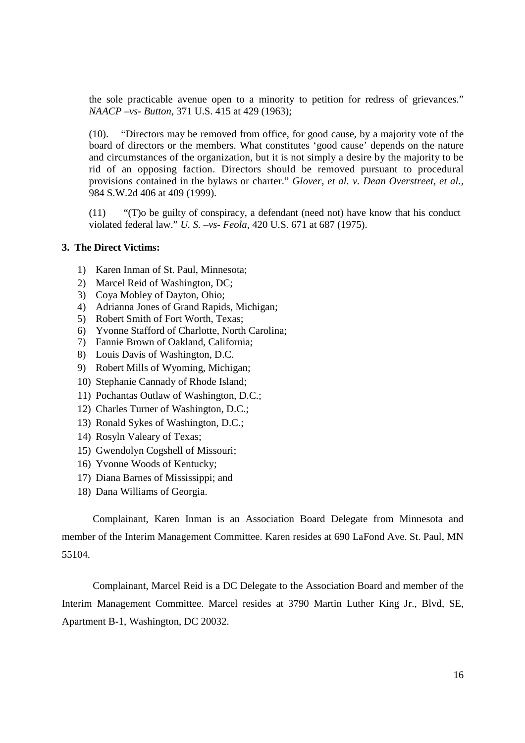the sole practicable avenue open to a minority to petition for redress of grievances." *NAACP –vs- Button,* 371 U.S. 415 at 429 (1963);

(10). "Directors may be removed from office, for good cause, by a majority vote of the board of directors or the members. What constitutes 'good cause' depends on the nature and circumstances of the organization, but it is not simply a desire by the majority to be rid of an opposing faction. Directors should be removed pursuant to procedural provisions contained in the bylaws or charter." *Glover, et al. v. Dean Overstreet, et al.,* 984 S.W.2d 406 at 409 (1999).

(11) "(T)o be guilty of conspiracy, a defendant (need not) have know that his conduct violated federal law." *U. S. –vs- Feola,* 420 U.S. 671 at 687 (1975).

## **3. The Direct Victims:**

- 1) Karen Inman of St. Paul, Minnesota;
- 2) Marcel Reid of Washington, DC;
- 3) Coya Mobley of Dayton, Ohio;
- 4) Adrianna Jones of Grand Rapids, Michigan;
- 5) Robert Smith of Fort Worth, Texas;
- 6) Yvonne Stafford of Charlotte, North Carolina;
- 7) Fannie Brown of Oakland, California;
- 8) Louis Davis of Washington, D.C.
- 9) Robert Mills of Wyoming, Michigan;
- 10) Stephanie Cannady of Rhode Island;
- 11) Pochantas Outlaw of Washington, D.C.;
- 12) Charles Turner of Washington, D.C.;
- 13) Ronald Sykes of Washington, D.C.;
- 14) Rosyln Valeary of Texas;
- 15) Gwendolyn Cogshell of Missouri;
- 16) Yvonne Woods of Kentucky;
- 17) Diana Barnes of Mississippi; and
- 18) Dana Williams of Georgia.

Complainant, Karen Inman is an Association Board Delegate from Minnesota and member of the Interim Management Committee. Karen resides at 690 LaFond Ave. St. Paul, MN 55104.

Complainant, Marcel Reid is a DC Delegate to the Association Board and member of the Interim Management Committee. Marcel resides at 3790 Martin Luther King Jr., Blvd, SE, Apartment B-1, Washington, DC 20032.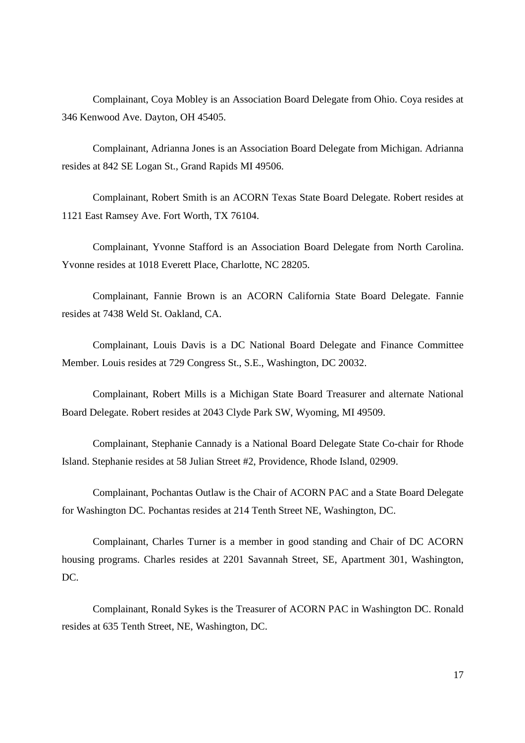Complainant, Coya Mobley is an Association Board Delegate from Ohio. Coya resides at 346 Kenwood Ave. Dayton, OH 45405.

Complainant, Adrianna Jones is an Association Board Delegate from Michigan. Adrianna resides at 842 SE Logan St., Grand Rapids MI 49506.

Complainant, Robert Smith is an ACORN Texas State Board Delegate. Robert resides at 1121 East Ramsey Ave. Fort Worth, TX 76104.

Complainant, Yvonne Stafford is an Association Board Delegate from North Carolina. Yvonne resides at 1018 Everett Place, Charlotte, NC 28205.

Complainant, Fannie Brown is an ACORN California State Board Delegate. Fannie resides at 7438 Weld St. Oakland, CA.

Complainant, Louis Davis is a DC National Board Delegate and Finance Committee Member. Louis resides at 729 Congress St., S.E., Washington, DC 20032.

Complainant, Robert Mills is a Michigan State Board Treasurer and alternate National Board Delegate. Robert resides at 2043 Clyde Park SW, Wyoming, MI 49509.

Complainant, Stephanie Cannady is a National Board Delegate State Co-chair for Rhode Island. Stephanie resides at 58 Julian Street #2, Providence, Rhode Island, 02909.

Complainant, Pochantas Outlaw is the Chair of ACORN PAC and a State Board Delegate for Washington DC. Pochantas resides at 214 Tenth Street NE, Washington, DC.

Complainant, Charles Turner is a member in good standing and Chair of DC ACORN housing programs. Charles resides at 2201 Savannah Street, SE, Apartment 301, Washington, DC.

Complainant, Ronald Sykes is the Treasurer of ACORN PAC in Washington DC. Ronald resides at 635 Tenth Street, NE, Washington, DC.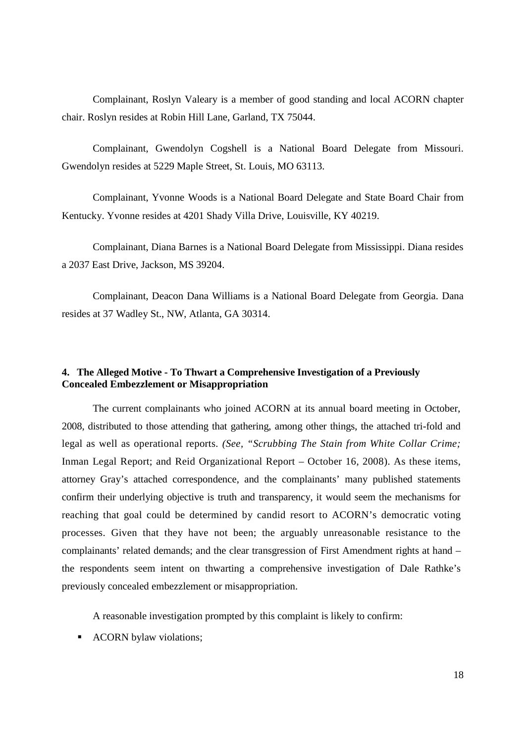Complainant, Roslyn Valeary is a member of good standing and local ACORN chapter chair. Roslyn resides at Robin Hill Lane, Garland, TX 75044.

Complainant, Gwendolyn Cogshell is a National Board Delegate from Missouri. Gwendolyn resides at 5229 Maple Street, St. Louis, MO 63113.

Complainant, Yvonne Woods is a National Board Delegate and State Board Chair from Kentucky. Yvonne resides at 4201 Shady Villa Drive, Louisville, KY 40219.

Complainant, Diana Barnes is a National Board Delegate from Mississippi. Diana resides a 2037 East Drive, Jackson, MS 39204.

Complainant, Deacon Dana Williams is a National Board Delegate from Georgia. Dana resides at 37 Wadley St., NW, Atlanta, GA 30314.

# **4. The Alleged Motive - To Thwart a Comprehensive Investigation of a Previously Concealed Embezzlement or Misappropriation**

The current complainants who joined ACORN at its annual board meeting in October, 2008, distributed to those attending that gathering, among other things, the attached tri-fold and legal as well as operational reports. *(See, "Scrubbing The Stain from White Collar Crime;* Inman Legal Report; and Reid Organizational Report – October 16, 2008). As these items, attorney Gray's attached correspondence, and the complainants' many published statements confirm their underlying objective is truth and transparency, it would seem the mechanisms for reaching that goal could be determined by candid resort to ACORN's democratic voting processes. Given that they have not been; the arguably unreasonable resistance to the complainants' related demands; and the clear transgression of First Amendment rights at hand – the respondents seem intent on thwarting a comprehensive investigation of Dale Rathke's previously concealed embezzlement or misappropriation.

A reasonable investigation prompted by this complaint is likely to confirm:

ACORN bylaw violations;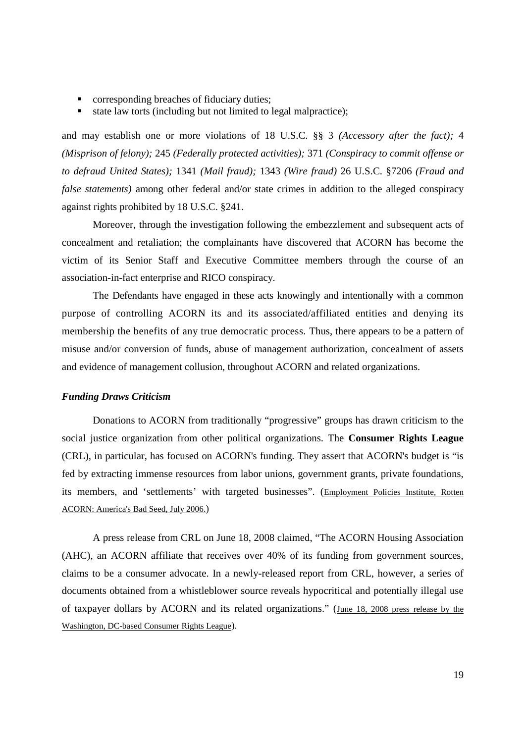- **•** corresponding breaches of fiduciary duties;
- state law torts (including but not limited to legal malpractice);

and may establish one or more violations of 18 U.S.C. §§ 3 *(Accessory after the fact);* 4 *(Misprison of felony);* 245 *(Federally protected activities);* 371 *(Conspiracy to commit offense or to defraud United States);* 1341 *(Mail fraud);* 1343 *(Wire fraud)* 26 U.S.C. §7206 *(Fraud and false statements)* among other federal and/or state crimes in addition to the alleged conspiracy against rights prohibited by 18 U.S.C. §241.

Moreover, through the investigation following the embezzlement and subsequent acts of concealment and retaliation; the complainants have discovered that ACORN has become the victim of its Senior Staff and Executive Committee members through the course of an association-in-fact enterprise and RICO conspiracy.

The Defendants have engaged in these acts knowingly and intentionally with a common purpose of controlling ACORN its and its associated/affiliated entities and denying its membership the benefits of any true democratic process. Thus, there appears to be a pattern of misuse and/or conversion of funds, abuse of management authorization, concealment of assets and evidence of management collusion, throughout ACORN and related organizations.

### *Funding Draws Criticism*

Donations to ACORN from traditionally "progressive" groups has drawn criticism to the social justice organization from other political organizations. The **Consumer Rights League** (CRL), in particular, has focused on ACORN's funding. They assert that ACORN's budget is "is fed by extracting immense resources from labor unions, government grants, private foundations, its members, and 'settlements' with targeted businesses". (Employment Policies Institute, Rotten ACORN: America's Bad Seed, July 2006.)

A press release from CRL on June 18, 2008 claimed, "The ACORN Housing Association (AHC), an ACORN affiliate that receives over 40% of its funding from government sources, claims to be a consumer advocate. In a newly-released report from CRL, however, a series of documents obtained from a whistleblower source reveals hypocritical and potentially illegal use of taxpayer dollars by ACORN and its related organizations." (June 18, 2008 press release by the Washington, DC-based Consumer Rights League).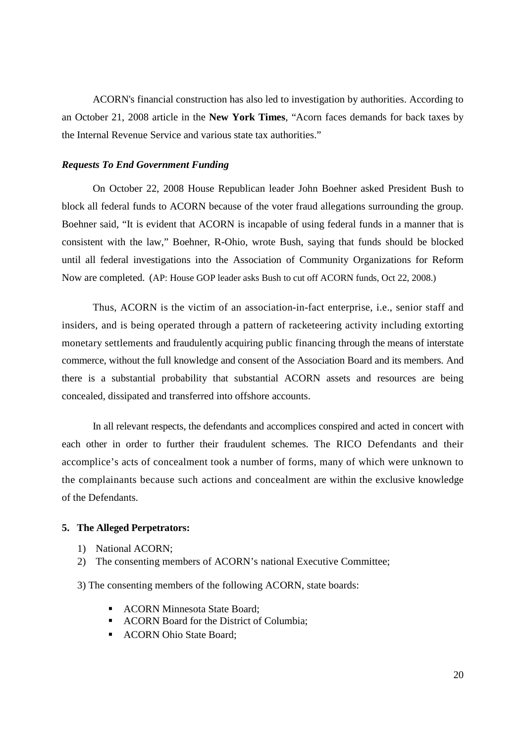ACORN's financial construction has also led to investigation by authorities. According to an October 21, 2008 article in the **New York Times**, "Acorn faces demands for back taxes by the Internal Revenue Service and various state tax authorities."

### *Requests To End Government Funding*

On October 22, 2008 House Republican leader John Boehner asked President Bush to block all federal funds to ACORN because of the voter fraud allegations surrounding the group. Boehner said, "It is evident that ACORN is incapable of using federal funds in a manner that is consistent with the law," Boehner, R-Ohio, wrote Bush, saying that funds should be blocked until all federal investigations into the Association of Community Organizations for Reform Now are completed. (AP: House GOP leader asks Bush to cut off ACORN funds, Oct 22, 2008.)

Thus, ACORN is the victim of an association-in-fact enterprise, i.e., senior staff and insiders, and is being operated through a pattern of racketeering activity including extorting monetary settlements and fraudulently acquiring public financing through the means of interstate commerce, without the full knowledge and consent of the Association Board and its members. And there is a substantial probability that substantial ACORN assets and resources are being concealed, dissipated and transferred into offshore accounts.

In all relevant respects, the defendants and accomplices conspired and acted in concert with each other in order to further their fraudulent schemes. The RICO Defendants and their accomplice's acts of concealment took a number of forms, many of which were unknown to the complainants because such actions and concealment are within the exclusive knowledge of the Defendants.

#### **5. The Alleged Perpetrators:**

- 1) National ACORN;
- 2) The consenting members of ACORN's national Executive Committee;

3) The consenting members of the following ACORN, state boards:

- ACORN Minnesota State Board:
- ACORN Board for the District of Columbia;
- **ACORN Ohio State Board:**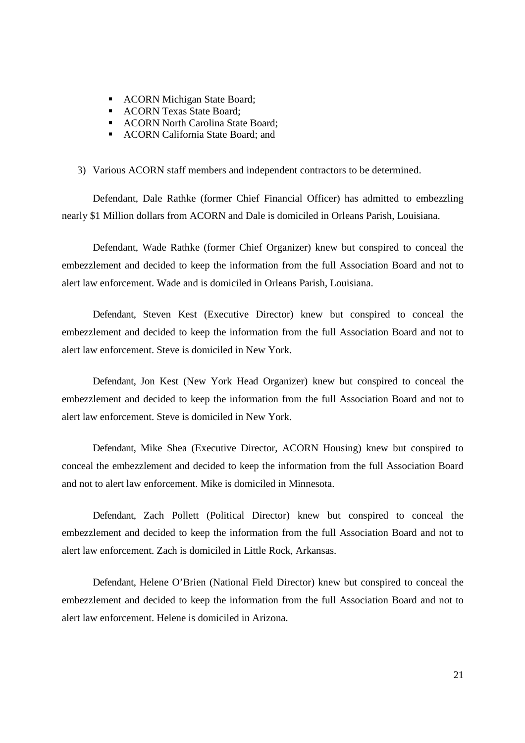- **ACORN Michigan State Board;**
- **ACORN Texas State Board;**
- ACORN North Carolina State Board:
- ACORN California State Board: and

3) Various ACORN staff members and independent contractors to be determined.

Defendant, Dale Rathke (former Chief Financial Officer) has admitted to embezzling nearly \$1 Million dollars from ACORN and Dale is domiciled in Orleans Parish, Louisiana.

Defendant, Wade Rathke (former Chief Organizer) knew but conspired to conceal the embezzlement and decided to keep the information from the full Association Board and not to alert law enforcement. Wade and is domiciled in Orleans Parish, Louisiana.

Defendant, Steven Kest (Executive Director) knew but conspired to conceal the embezzlement and decided to keep the information from the full Association Board and not to alert law enforcement. Steve is domiciled in New York.

Defendant, Jon Kest (New York Head Organizer) knew but conspired to conceal the embezzlement and decided to keep the information from the full Association Board and not to alert law enforcement. Steve is domiciled in New York.

Defendant, Mike Shea (Executive Director, ACORN Housing) knew but conspired to conceal the embezzlement and decided to keep the information from the full Association Board and not to alert law enforcement. Mike is domiciled in Minnesota.

Defendant, Zach Pollett (Political Director) knew but conspired to conceal the embezzlement and decided to keep the information from the full Association Board and not to alert law enforcement. Zach is domiciled in Little Rock, Arkansas.

Defendant, Helene O'Brien (National Field Director) knew but conspired to conceal the embezzlement and decided to keep the information from the full Association Board and not to alert law enforcement. Helene is domiciled in Arizona.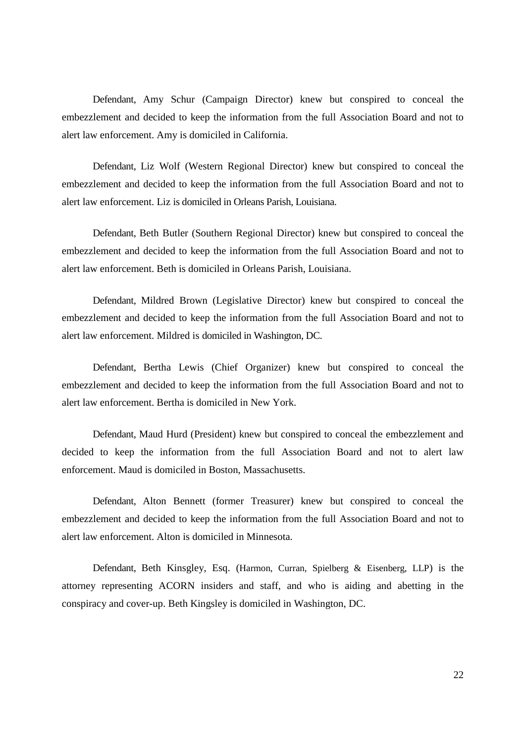Defendant, Amy Schur (Campaign Director) knew but conspired to conceal the embezzlement and decided to keep the information from the full Association Board and not to alert law enforcement. Amy is domiciled in California.

Defendant, Liz Wolf (Western Regional Director) knew but conspired to conceal the embezzlement and decided to keep the information from the full Association Board and not to alert law enforcement. Liz is domiciled in Orleans Parish, Louisiana.

Defendant, Beth Butler (Southern Regional Director) knew but conspired to conceal the embezzlement and decided to keep the information from the full Association Board and not to alert law enforcement. Beth is domiciled in Orleans Parish, Louisiana.

Defendant, Mildred Brown (Legislative Director) knew but conspired to conceal the embezzlement and decided to keep the information from the full Association Board and not to alert law enforcement. Mildred is domiciled in Washington, DC.

Defendant, Bertha Lewis (Chief Organizer) knew but conspired to conceal the embezzlement and decided to keep the information from the full Association Board and not to alert law enforcement. Bertha is domiciled in New York.

Defendant, Maud Hurd (President) knew but conspired to conceal the embezzlement and decided to keep the information from the full Association Board and not to alert law enforcement. Maud is domiciled in Boston, Massachusetts.

Defendant, Alton Bennett (former Treasurer) knew but conspired to conceal the embezzlement and decided to keep the information from the full Association Board and not to alert law enforcement. Alton is domiciled in Minnesota.

Defendant, Beth Kinsgley, Esq. (Harmon, Curran, Spielberg & Eisenberg, LLP) is the attorney representing ACORN insiders and staff, and who is aiding and abetting in the conspiracy and cover-up. Beth Kingsley is domiciled in Washington, DC.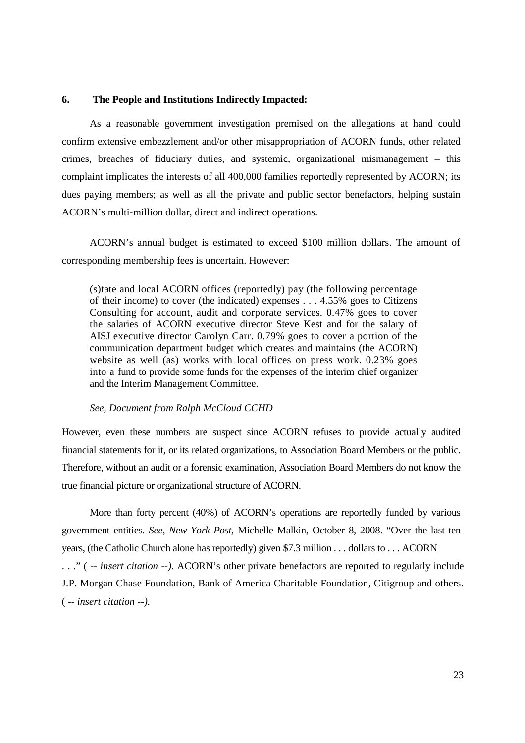## **6. The People and Institutions Indirectly Impacted:**

As a reasonable government investigation premised on the allegations at hand could confirm extensive embezzlement and/or other misappropriation of ACORN funds, other related crimes, breaches of fiduciary duties, and systemic, organizational mismanagement – this complaint implicates the interests of all 400,000 families reportedly represented by ACORN; its dues paying members; as well as all the private and public sector benefactors, helping sustain ACORN's multi-million dollar, direct and indirect operations.

ACORN's annual budget is estimated to exceed \$100 million dollars. The amount of corresponding membership fees is uncertain. However:

(s)tate and local ACORN offices (reportedly) pay (the following percentage of their income) to cover (the indicated) expenses . . . 4.55% goes to Citizens Consulting for account, audit and corporate services. 0.47% goes to cover the salaries of ACORN executive director Steve Kest and for the salary of AISJ executive director Carolyn Carr. 0.79% goes to cover a portion of the communication department budget which creates and maintains (the ACORN) website as well (as) works with local offices on press work. 0.23% goes into a fund to provide some funds for the expenses of the interim chief organizer and the Interim Management Committee.

#### *See, Document from Ralph McCloud CCHD*

However, even these numbers are suspect since ACORN refuses to provide actually audited financial statements for it, or its related organizations, to Association Board Members or the public. Therefore, without an audit or a forensic examination, Association Board Members do not know the true financial picture or organizational structure of ACORN.

More than forty percent (40%) of ACORN's operations are reportedly funded by various government entities. *See, New York Post,* Michelle Malkin, October 8, 2008. "Over the last ten years, (the Catholic Church alone has reportedly) given \$7.3 million . . . dollars to . . . ACORN . . ." ( *-- insert citation --).* ACORN's other private benefactors are reported to regularly include J.P. Morgan Chase Foundation, Bank of America Charitable Foundation, Citigroup and others. ( *-- insert citation --).*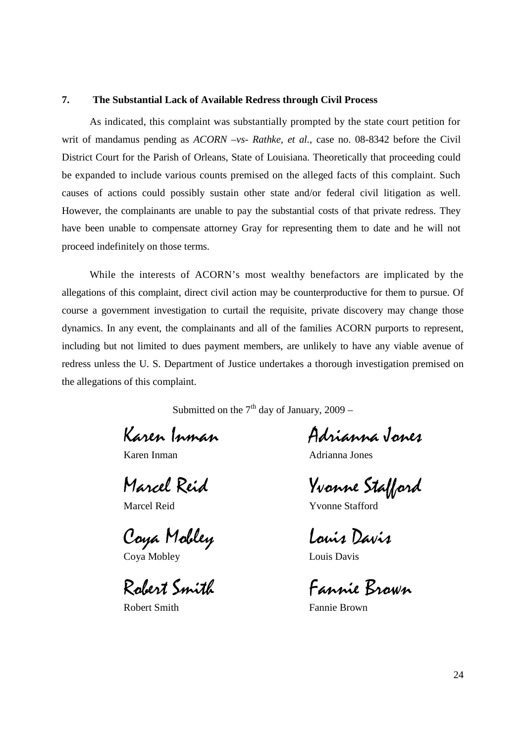## **7. The Substantial Lack of Available Redress through Civil Process**

As indicated, this complaint was substantially prompted by the state court petition for writ of mandamus pending as *ACORN –vs- Rathke, et al.,* case no. 08-8342 before the Civil District Court for the Parish of Orleans, State of Louisiana. Theoretically that proceeding could be expanded to include various counts premised on the alleged facts of this complaint. Such causes of actions could possibly sustain other state and/or federal civil litigation as well. However, the complainants are unable to pay the substantial costs of that private redress. They have been unable to compensate attorney Gray for representing them to date and he will not proceed indefinitely on those terms.

While the interests of ACORN's most wealthy benefactors are implicated by the allegations of this complaint, direct civil action may be counterproductive for them to pursue. Of course a government investigation to curtail the requisite, private discovery may change those dynamics. In any event, the complainants and all of the families ACORN purports to represent, including but not limited to dues payment members, are unlikely to have any viable avenue of redress unless the U. S. Department of Justice undertakes a thorough investigation premised on the allegations of this complaint.

Submitted on the  $7<sup>th</sup>$  day of January, 2009 –

Coya Mobley Louis Davis

Coya Mobley Louis Davis

Karen Inman Adrianna Jones

Karen Inman Adrianna Jones

Marcel Reid Yvonne Stafford

Marcel Reid Yvonne Stafford

Robert Smith Fannie Brown

Robert Smith Fannie Brown